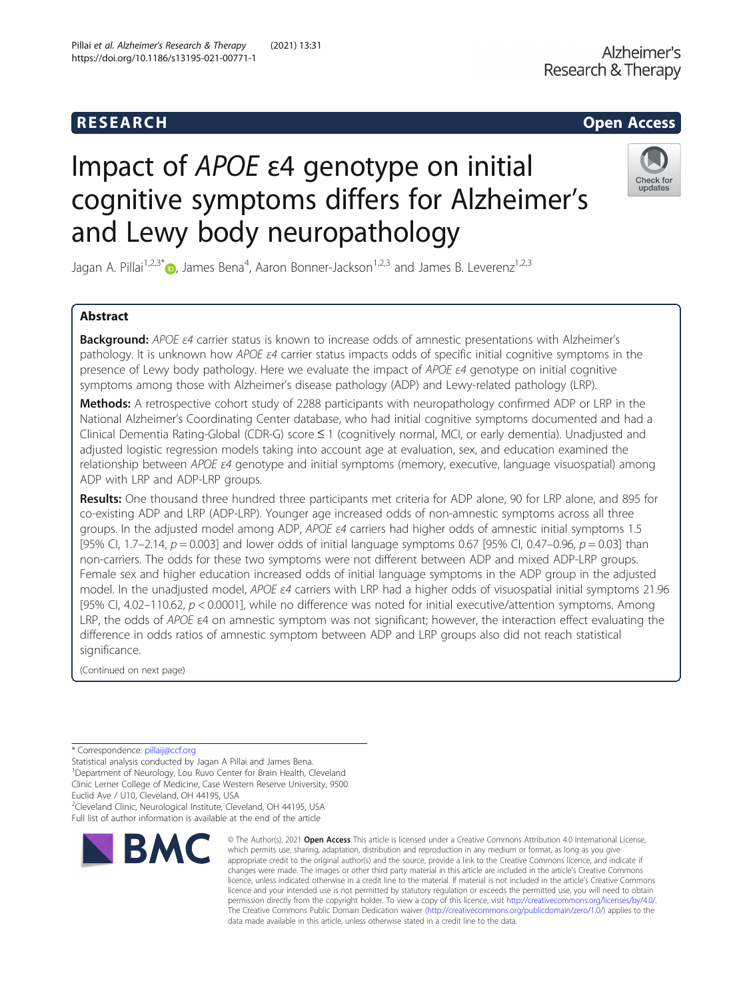# R E S EAR CH Open Access

# Impact of APOE ε4 genotype on initial cognitive symptoms differs for Alzheimer's and Lewy body neuropathology

Jagan A. Pillai<sup>1,2,3[\\*](http://orcid.org/0000-0001-6784-824X)</sup>�, James Bena<sup>4</sup>, Aaron Bonner-Jackson<sup>1,2,3</sup> and James B. Leverenz<sup>1,2,3</sup>

## Abstract

**Background:** APOE *ε4* carrier status is known to increase odds of amnestic presentations with Alzheimer's pathology. It is unknown how APOE ε4 carrier status impacts odds of specific initial cognitive symptoms in the presence of Lewy body pathology. Here we evaluate the impact of APOE  $\varepsilon$ 4 genotype on initial cognitive symptoms among those with Alzheimer's disease pathology (ADP) and Lewy-related pathology (LRP).

Methods: A retrospective cohort study of 2288 participants with neuropathology confirmed ADP or LRP in the National Alzheimer's Coordinating Center database, who had initial cognitive symptoms documented and had a Clinical Dementia Rating-Global (CDR-G) score ≤ 1 (cognitively normal, MCI, or early dementia). Unadjusted and adjusted logistic regression models taking into account age at evaluation, sex, and education examined the relationship between APOE ε4 genotype and initial symptoms (memory, executive, language visuospatial) among ADP with LRP and ADP-LRP groups.

Results: One thousand three hundred three participants met criteria for ADP alone, 90 for LRP alone, and 895 for co-existing ADP and LRP (ADP-LRP). Younger age increased odds of non-amnestic symptoms across all three groups. In the adjusted model among ADP, APOE ε4 carriers had higher odds of amnestic initial symptoms 1.5 [95% CI, 1.7–2.14,  $p = 0.003$ ] and lower odds of initial language symptoms 0.67 [95% CI, 0.47–0.96,  $p = 0.03$ ] than non-carriers. The odds for these two symptoms were not different between ADP and mixed ADP-LRP groups. Female sex and higher education increased odds of initial language symptoms in the ADP group in the adjusted model. In the unadjusted model, APOE ε4 carriers with LRP had a higher odds of visuospatial initial symptoms 21.96 [95% CI, 4.02–110.62,  $p < 0.0001$ ], while no difference was noted for initial executive/attention symptoms. Among LRP, the odds of APOE ε4 on amnestic symptom was not significant; however, the interaction effect evaluating the difference in odds ratios of amnestic symptom between ADP and LRP groups also did not reach statistical significance.

> © The Author(s), 2021 **Open Access** This article is licensed under a Creative Commons Attribution 4.0 International License, which permits use, sharing, adaptation, distribution and reproduction in any medium or format, as long as you give

The Creative Commons Public Domain Dedication waiver [\(http://creativecommons.org/publicdomain/zero/1.0/](http://creativecommons.org/publicdomain/zero/1.0/)) applies to the

data made available in this article, unless otherwise stated in a credit line to the data.

(Continued on next page)

Statistical analysis conducted by Jagan A Pillai and James Bena. <sup>1</sup>Department of Neurology, Lou Ruvo Center for Brain Health, Cleveland

Clinic Lerner College of Medicine, Case Western Reserve University, 9500

<sup>2</sup>Cleveland Clinic, Neurological Institute, Cleveland, OH 44195, USA

# \* Correspondence: [pillaij@ccf.org](mailto:pillaij@ccf.org)

Euclid Ave / U10, Cleveland, OH 44195, USA Full list of author information is available at the end of the article



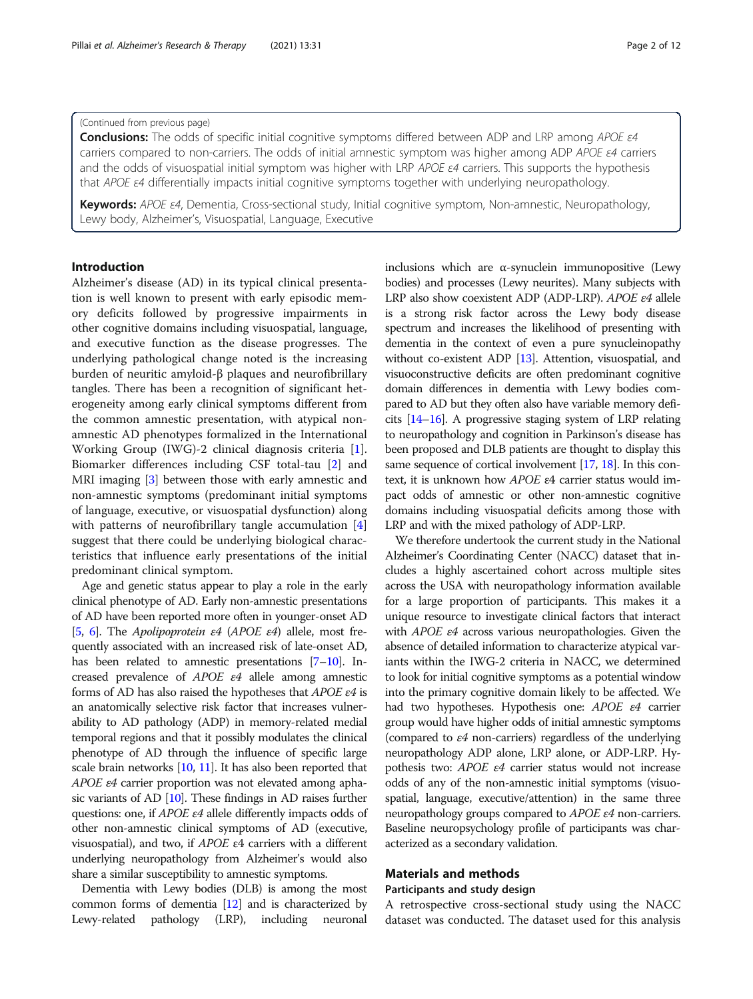#### (Continued from previous page)

Conclusions: The odds of specific initial cognitive symptoms differed between ADP and LRP among APOE ε4 carriers compared to non-carriers. The odds of initial amnestic symptom was higher among ADP APOE ε4 carriers and the odds of visuospatial initial symptom was higher with LRP APOE  $\varepsilon$ 4 carriers. This supports the hypothesis that APOE ε4 differentially impacts initial cognitive symptoms together with underlying neuropathology.

Keywords: APOE ε4, Dementia, Cross-sectional study, Initial cognitive symptom, Non-amnestic, Neuropathology, Lewy body, Alzheimer's, Visuospatial, Language, Executive

#### Introduction

Alzheimer's disease (AD) in its typical clinical presentation is well known to present with early episodic memory deficits followed by progressive impairments in other cognitive domains including visuospatial, language, and executive function as the disease progresses. The underlying pathological change noted is the increasing burden of neuritic amyloid-β plaques and neurofibrillary tangles. There has been a recognition of significant heterogeneity among early clinical symptoms different from the common amnestic presentation, with atypical nonamnestic AD phenotypes formalized in the International Working Group (IWG)-2 clinical diagnosis criteria [\[1](#page-9-0)]. Biomarker differences including CSF total-tau [\[2](#page-10-0)] and MRI imaging [[3\]](#page-10-0) between those with early amnestic and non-amnestic symptoms (predominant initial symptoms of language, executive, or visuospatial dysfunction) along with patterns of neurofibrillary tangle accumulation [\[4](#page-10-0)] suggest that there could be underlying biological characteristics that influence early presentations of the initial predominant clinical symptom.

Age and genetic status appear to play a role in the early clinical phenotype of AD. Early non-amnestic presentations of AD have been reported more often in younger-onset AD [[5](#page-10-0), [6](#page-10-0)]. The *Apolipoprotein*  $\varepsilon$ 4 (*APOE*  $\varepsilon$ 4) allele, most frequently associated with an increased risk of late-onset AD, has been related to amnestic presentations [\[7](#page-10-0)–[10\]](#page-10-0). Increased prevalence of APOE ε4 allele among amnestic forms of AD has also raised the hypotheses that APOE ε4 is an anatomically selective risk factor that increases vulnerability to AD pathology (ADP) in memory-related medial temporal regions and that it possibly modulates the clinical phenotype of AD through the influence of specific large scale brain networks [\[10](#page-10-0), [11\]](#page-10-0). It has also been reported that APOE ε4 carrier proportion was not elevated among aphasic variants of AD [[10\]](#page-10-0). These findings in AD raises further questions: one, if APOE ε4 allele differently impacts odds of other non-amnestic clinical symptoms of AD (executive, visuospatial), and two, if APOE ε4 carriers with a different underlying neuropathology from Alzheimer's would also share a similar susceptibility to amnestic symptoms.

Dementia with Lewy bodies (DLB) is among the most common forms of dementia [\[12](#page-10-0)] and is characterized by Lewy-related pathology (LRP), including neuronal inclusions which are  $\alpha$ -synuclein immunopositive (Lewy bodies) and processes (Lewy neurites). Many subjects with LRP also show coexistent ADP (ADP-LRP). APOE ε4 allele is a strong risk factor across the Lewy body disease spectrum and increases the likelihood of presenting with dementia in the context of even a pure synucleinopathy without co-existent ADP [\[13\]](#page-10-0). Attention, visuospatial, and visuoconstructive deficits are often predominant cognitive domain differences in dementia with Lewy bodies compared to AD but they often also have variable memory deficits [[14](#page-10-0)–[16](#page-10-0)]. A progressive staging system of LRP relating to neuropathology and cognition in Parkinson's disease has been proposed and DLB patients are thought to display this same sequence of cortical involvement [[17](#page-10-0), [18](#page-10-0)]. In this context, it is unknown how APOE ε4 carrier status would impact odds of amnestic or other non-amnestic cognitive domains including visuospatial deficits among those with LRP and with the mixed pathology of ADP-LRP.

We therefore undertook the current study in the National Alzheimer's Coordinating Center (NACC) dataset that includes a highly ascertained cohort across multiple sites across the USA with neuropathology information available for a large proportion of participants. This makes it a unique resource to investigate clinical factors that interact with  $APOE$   $\varepsilon$ 4 across various neuropathologies. Given the absence of detailed information to characterize atypical variants within the IWG-2 criteria in NACC, we determined to look for initial cognitive symptoms as a potential window into the primary cognitive domain likely to be affected. We had two hypotheses. Hypothesis one: APOE ε4 carrier group would have higher odds of initial amnestic symptoms (compared to ε4 non-carriers) regardless of the underlying neuropathology ADP alone, LRP alone, or ADP-LRP. Hypothesis two: APOE ε4 carrier status would not increase odds of any of the non-amnestic initial symptoms (visuospatial, language, executive/attention) in the same three neuropathology groups compared to APOE ε4 non-carriers. Baseline neuropsychology profile of participants was characterized as a secondary validation.

#### Materials and methods

#### Participants and study design

A retrospective cross-sectional study using the NACC dataset was conducted. The dataset used for this analysis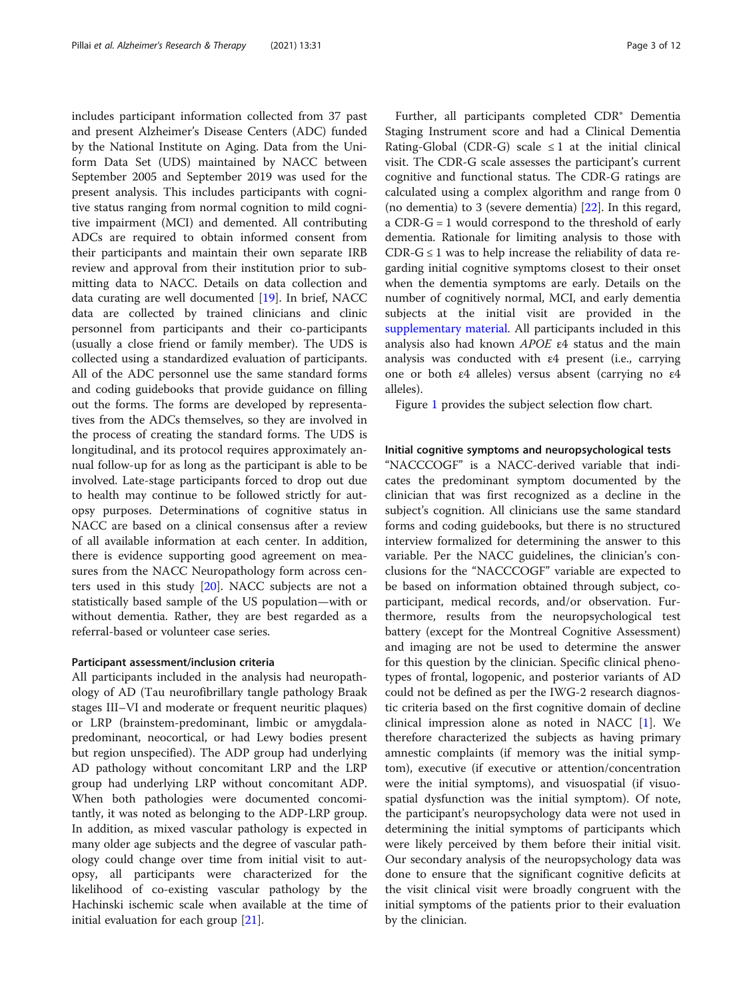includes participant information collected from 37 past and present Alzheimer's Disease Centers (ADC) funded by the National Institute on Aging. Data from the Uniform Data Set (UDS) maintained by NACC between September 2005 and September 2019 was used for the present analysis. This includes participants with cognitive status ranging from normal cognition to mild cognitive impairment (MCI) and demented. All contributing ADCs are required to obtain informed consent from their participants and maintain their own separate IRB review and approval from their institution prior to submitting data to NACC. Details on data collection and data curating are well documented [[19\]](#page-10-0). In brief, NACC data are collected by trained clinicians and clinic personnel from participants and their co-participants (usually a close friend or family member). The UDS is collected using a standardized evaluation of participants. All of the ADC personnel use the same standard forms and coding guidebooks that provide guidance on filling out the forms. The forms are developed by representatives from the ADCs themselves, so they are involved in the process of creating the standard forms. The UDS is longitudinal, and its protocol requires approximately annual follow-up for as long as the participant is able to be involved. Late-stage participants forced to drop out due to health may continue to be followed strictly for autopsy purposes. Determinations of cognitive status in NACC are based on a clinical consensus after a review of all available information at each center. In addition, there is evidence supporting good agreement on measures from the NACC Neuropathology form across centers used in this study [[20](#page-10-0)]. NACC subjects are not a statistically based sample of the US population—with or without dementia. Rather, they are best regarded as a referral-based or volunteer case series.

#### Participant assessment/inclusion criteria

All participants included in the analysis had neuropathology of AD (Tau neurofibrillary tangle pathology Braak stages III–VI and moderate or frequent neuritic plaques) or LRP (brainstem-predominant, limbic or amygdalapredominant, neocortical, or had Lewy bodies present but region unspecified). The ADP group had underlying AD pathology without concomitant LRP and the LRP group had underlying LRP without concomitant ADP. When both pathologies were documented concomitantly, it was noted as belonging to the ADP-LRP group. In addition, as mixed vascular pathology is expected in many older age subjects and the degree of vascular pathology could change over time from initial visit to autopsy, all participants were characterized for the likelihood of co-existing vascular pathology by the Hachinski ischemic scale when available at the time of initial evaluation for each group [[21\]](#page-10-0).

Further, all participants completed CDR® Dementia Staging Instrument score and had a Clinical Dementia Rating-Global (CDR-G) scale  $\leq 1$  at the initial clinical visit. The CDR-G scale assesses the participant's current cognitive and functional status. The CDR-G ratings are calculated using a complex algorithm and range from 0 (no dementia) to 3 (severe dementia) [[22\]](#page-10-0). In this regard, a CDR-G = 1 would correspond to the threshold of early dementia. Rationale for limiting analysis to those with CDR- $G \leq 1$  was to help increase the reliability of data regarding initial cognitive symptoms closest to their onset when the dementia symptoms are early. Details on the number of cognitively normal, MCI, and early dementia subjects at the initial visit are provided in the [supplementary material.](#page-9-0) All participants included in this analysis also had known APOE ε4 status and the main analysis was conducted with ε4 present (i.e., carrying one or both ε4 alleles) versus absent (carrying no ε4 alleles).

Figure [1](#page-3-0) provides the subject selection flow chart.

#### Initial cognitive symptoms and neuropsychological tests

"NACCCOGF" is a NACC-derived variable that indicates the predominant symptom documented by the clinician that was first recognized as a decline in the subject's cognition. All clinicians use the same standard forms and coding guidebooks, but there is no structured interview formalized for determining the answer to this variable. Per the NACC guidelines, the clinician's conclusions for the "NACCCOGF" variable are expected to be based on information obtained through subject, coparticipant, medical records, and/or observation. Furthermore, results from the neuropsychological test battery (except for the Montreal Cognitive Assessment) and imaging are not be used to determine the answer for this question by the clinician. Specific clinical phenotypes of frontal, logopenic, and posterior variants of AD could not be defined as per the IWG-2 research diagnostic criteria based on the first cognitive domain of decline clinical impression alone as noted in NACC [[1\]](#page-9-0). We therefore characterized the subjects as having primary amnestic complaints (if memory was the initial symptom), executive (if executive or attention/concentration were the initial symptoms), and visuospatial (if visuospatial dysfunction was the initial symptom). Of note, the participant's neuropsychology data were not used in determining the initial symptoms of participants which were likely perceived by them before their initial visit. Our secondary analysis of the neuropsychology data was done to ensure that the significant cognitive deficits at the visit clinical visit were broadly congruent with the initial symptoms of the patients prior to their evaluation by the clinician.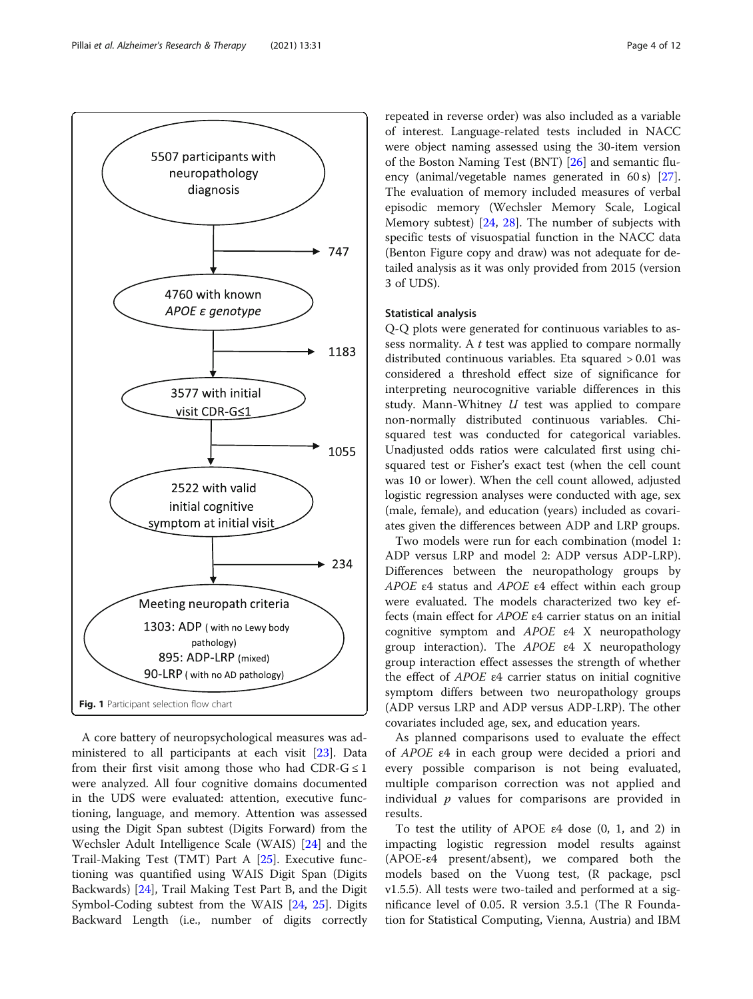<span id="page-3-0"></span>

A core battery of neuropsychological measures was administered to all participants at each visit [[23\]](#page-10-0). Data from their first visit among those who had CDR- $G \leq 1$ were analyzed. All four cognitive domains documented in the UDS were evaluated: attention, executive functioning, language, and memory. Attention was assessed using the Digit Span subtest (Digits Forward) from the Wechsler Adult Intelligence Scale (WAIS) [\[24](#page-10-0)] and the Trail-Making Test (TMT) Part A [\[25\]](#page-10-0). Executive functioning was quantified using WAIS Digit Span (Digits Backwards) [[24](#page-10-0)], Trail Making Test Part B, and the Digit Symbol-Coding subtest from the WAIS [\[24,](#page-10-0) [25](#page-10-0)]. Digits Backward Length (i.e., number of digits correctly

repeated in reverse order) was also included as a variable of interest. Language-related tests included in NACC were object naming assessed using the 30-item version of the Boston Naming Test (BNT) [\[26](#page-10-0)] and semantic flu-ency (animal/vegetable names generated in 60 s) [\[27](#page-10-0)]. The evaluation of memory included measures of verbal episodic memory (Wechsler Memory Scale, Logical Memory subtest) [\[24](#page-10-0), [28\]](#page-10-0). The number of subjects with specific tests of visuospatial function in the NACC data (Benton Figure copy and draw) was not adequate for detailed analysis as it was only provided from 2015 (version 3 of UDS).

#### Statistical analysis

Q-Q plots were generated for continuous variables to assess normality. A  $t$  test was applied to compare normally distributed continuous variables. Eta squared > 0.01 was considered a threshold effect size of significance for interpreting neurocognitive variable differences in this study. Mann-Whitney  $U$  test was applied to compare non-normally distributed continuous variables. Chisquared test was conducted for categorical variables. Unadjusted odds ratios were calculated first using chisquared test or Fisher's exact test (when the cell count was 10 or lower). When the cell count allowed, adjusted logistic regression analyses were conducted with age, sex (male, female), and education (years) included as covariates given the differences between ADP and LRP groups.

Two models were run for each combination (model 1: ADP versus LRP and model 2: ADP versus ADP-LRP). Differences between the neuropathology groups by APOE ε4 status and APOE ε4 effect within each group were evaluated. The models characterized two key effects (main effect for APOE ε4 carrier status on an initial cognitive symptom and APOE ε4 X neuropathology group interaction). The APOE ε4 X neuropathology group interaction effect assesses the strength of whether the effect of APOE ε4 carrier status on initial cognitive symptom differs between two neuropathology groups (ADP versus LRP and ADP versus ADP-LRP). The other covariates included age, sex, and education years.

As planned comparisons used to evaluate the effect of APOE ε4 in each group were decided a priori and every possible comparison is not being evaluated, multiple comparison correction was not applied and individual  $p$  values for comparisons are provided in results.

To test the utility of APOE ε4 dose (0, 1, and 2) in impacting logistic regression model results against (APOE-ε4 present/absent), we compared both the models based on the Vuong test, (R package, pscl v1.5.5). All tests were two-tailed and performed at a significance level of 0.05. R version 3.5.1 (The R Foundation for Statistical Computing, Vienna, Austria) and IBM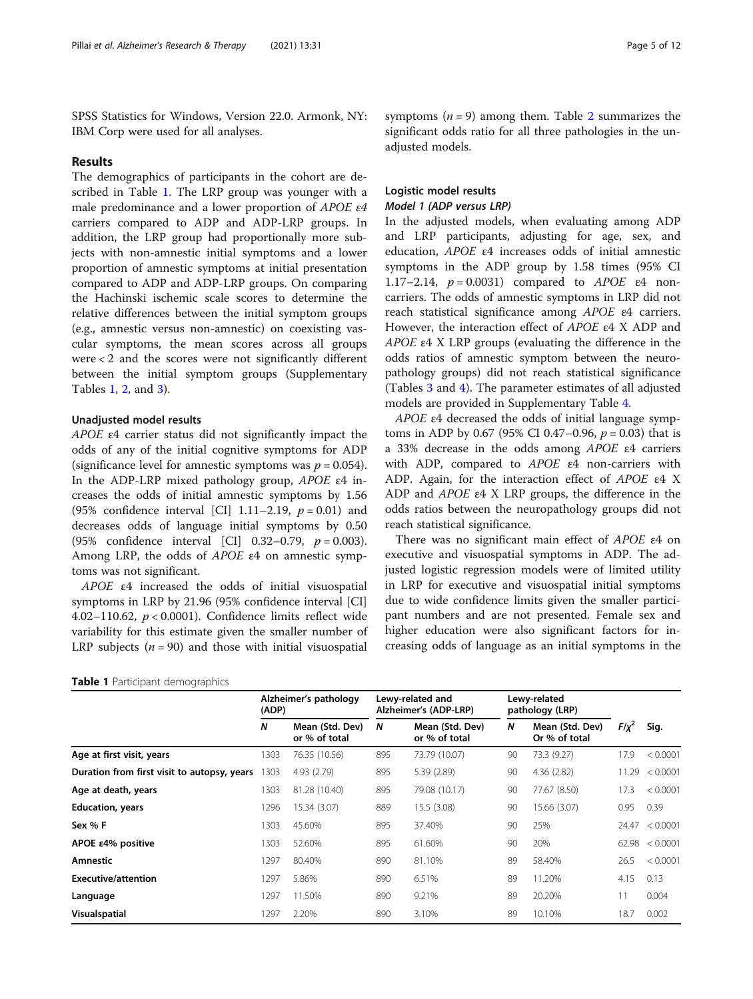SPSS Statistics for Windows, Version 22.0. Armonk, NY: IBM Corp were used for all analyses.

#### Results

The demographics of participants in the cohort are described in Table 1. The LRP group was younger with a male predominance and a lower proportion of APOE ε4 carriers compared to ADP and ADP-LRP groups. In addition, the LRP group had proportionally more subjects with non-amnestic initial symptoms and a lower proportion of amnestic symptoms at initial presentation compared to ADP and ADP-LRP groups. On comparing the Hachinski ischemic scale scores to determine the relative differences between the initial symptom groups (e.g., amnestic versus non-amnestic) on coexisting vascular symptoms, the mean scores across all groups were < 2 and the scores were not significantly different between the initial symptom groups (Supplementary Tables [1](#page-9-0), [2](#page-9-0), and [3](#page-9-0)).

#### Unadjusted model results

APOE ε4 carrier status did not significantly impact the odds of any of the initial cognitive symptoms for ADP (significance level for amnestic symptoms was  $p = 0.054$ ). In the ADP-LRP mixed pathology group, APOE ε4 increases the odds of initial amnestic symptoms by 1.56 (95% confidence interval [CI] 1.11–2.19,  $p = 0.01$ ) and decreases odds of language initial symptoms by 0.50 (95% confidence interval [CI] 0.32–0.79,  $p = 0.003$ ). Among LRP, the odds of APOE ε4 on amnestic symptoms was not significant.

APOE ε4 increased the odds of initial visuospatial symptoms in LRP by 21.96 (95% confidence interval [CI] 4.02–110.62,  $p < 0.0001$ ). Confidence limits reflect wide variability for this estimate given the smaller number of LRP subjects ( $n = 90$ ) and those with initial visuospatial

Table 1 Participant demographics

symptoms ( $n = 9$ ) among them. Table [2](#page-5-0) summarizes the significant odds ratio for all three pathologies in the unadjusted models.

### Logistic model results Model 1 (ADP versus LRP)

In the adjusted models, when evaluating among ADP and LRP participants, adjusting for age, sex, and education, APOE ε4 increases odds of initial amnestic symptoms in the ADP group by 1.58 times (95% CI 1.17–2.14,  $p = 0.0031$ ) compared to *APOE* ε4 noncarriers. The odds of amnestic symptoms in LRP did not reach statistical significance among APOE ε4 carriers. However, the interaction effect of APOE ε4 X ADP and APOE ε4 X LRP groups (evaluating the difference in the odds ratios of amnestic symptom between the neuropathology groups) did not reach statistical significance (Tables [3](#page-6-0) and [4](#page-6-0)). The parameter estimates of all adjusted models are provided in Supplementary Table [4](#page-9-0).

APOE ε4 decreased the odds of initial language symptoms in ADP by 0.67 (95% CI 0.47–0.96,  $p = 0.03$ ) that is a 33% decrease in the odds among APOE ε4 carriers with ADP, compared to APOE ε4 non-carriers with ADP. Again, for the interaction effect of APOE ε4 X ADP and APOE ε4 X LRP groups, the difference in the odds ratios between the neuropathology groups did not reach statistical significance.

There was no significant main effect of APOE ε4 on executive and visuospatial symptoms in ADP. The adjusted logistic regression models were of limited utility in LRP for executive and visuospatial initial symptoms due to wide confidence limits given the smaller participant numbers and are not presented. Female sex and higher education were also significant factors for increasing odds of language as an initial symptoms in the

|                                             | Alzheimer's pathology<br>(ADP) |                                  | Lewy-related and<br>Alzheimer's (ADP-LRP) |                                  | Lewy-related<br>pathology (LRP) |                                  |            |          |
|---------------------------------------------|--------------------------------|----------------------------------|-------------------------------------------|----------------------------------|---------------------------------|----------------------------------|------------|----------|
|                                             | N                              | Mean (Std. Dev)<br>or % of total | N                                         | Mean (Std. Dev)<br>or % of total | N                               | Mean (Std. Dev)<br>Or % of total | $F/\chi^2$ | Sig.     |
| Age at first visit, years                   | 1303                           | 76.35 (10.56)                    | 895                                       | 73.79 (10.07)                    | 90                              | 73.3 (9.27)                      | 17.9       | < 0.0001 |
| Duration from first visit to autopsy, years | 1303                           | 4.93 (2.79)                      | 895                                       | 5.39 (2.89)                      | 90                              | 4.36(2.82)                       | 11.29      | < 0.0001 |
| Age at death, years                         | 1303                           | 81.28 (10.40)                    | 895                                       | 79.08 (10.17)                    | 90                              | 77.67 (8.50)                     | 17.3       | < 0.0001 |
| <b>Education, years</b>                     | 1296                           | 15.34 (3.07)                     | 889                                       | 15.5 (3.08)                      | 90                              | 15.66 (3.07)                     | 0.95       | 0.39     |
| Sex % F                                     | 1303                           | 45.60%                           | 895                                       | 37.40%                           | 90                              | 25%                              | 24.47      | < 0.0001 |
| APOE ε4% positive                           | 1303                           | 52.60%                           | 895                                       | 61.60%                           | 90                              | 20%                              | 62.98      | < 0.0001 |
| <b>Amnestic</b>                             | 1297                           | 80.40%                           | 890                                       | 81.10%                           | 89                              | 58.40%                           | 26.5       | < 0.0001 |
| Executive/attention                         | 1297                           | 5.86%                            | 890                                       | 6.51%                            | 89                              | 11.20%                           | 4.15       | 0.13     |
| Language                                    | 1297                           | 11.50%                           | 890                                       | 9.21%                            | 89                              | 20.20%                           | 11         | 0.004    |
| <b>Visualspatial</b>                        | 1297                           | 2.20%                            | 890                                       | 3.10%                            | 89                              | 10.10%                           | 18.7       | 0.002    |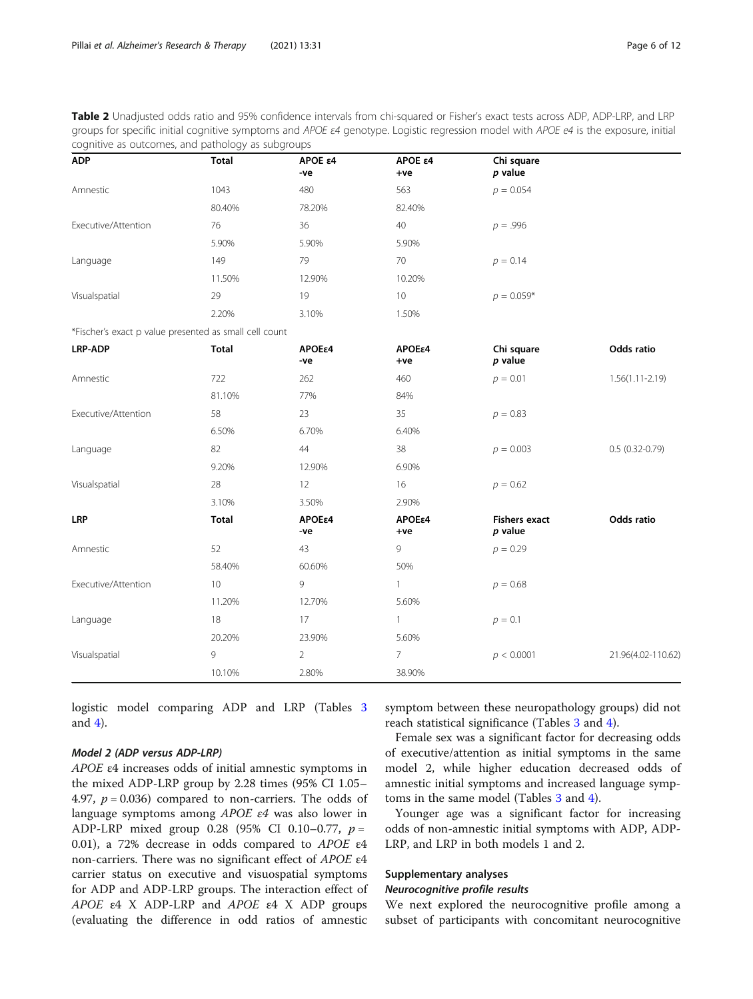<span id="page-5-0"></span>Table 2 Unadjusted odds ratio and 95% confidence intervals from chi-squared or Fisher's exact tests across ADP, ADP-LRP, and LRP groups for specific initial cognitive symptoms and APOE  $\varepsilon$ 4 genotype. Logistic regression model with APOE e4 is the exposure, initial cognitive as outcomes, and pathology as subgroups

| <b>ADP</b>                                             | <b>Total</b> | APOE ε4<br>-ve | APOE ε4<br>+ve  | Chi square<br>$p$ value           |                     |
|--------------------------------------------------------|--------------|----------------|-----------------|-----------------------------------|---------------------|
| Amnestic                                               | 1043         | 480            | 563             | $p = 0.054$                       |                     |
|                                                        | 80.40%       | 78.20%         | 82.40%          |                                   |                     |
| Executive/Attention                                    | 76           | 36             | $40\,$          | $p = .996$                        |                     |
|                                                        | 5.90%        | 5.90%          | 5.90%           |                                   |                     |
| Language                                               | 149          | 79             | 70              | $p = 0.14$                        |                     |
|                                                        | 11.50%       | 12.90%         | 10.20%          |                                   |                     |
| Visualspatial                                          | 29           | 19             | 10              | $p = 0.059*$                      |                     |
|                                                        | 2.20%        | 3.10%          | 1.50%           |                                   |                     |
| *Fischer's exact p value presented as small cell count |              |                |                 |                                   |                     |
| <b>LRP-ADP</b>                                         | <b>Total</b> | ΑΡΟΕε4<br>-ve  | APOEε4<br>$+ve$ | Chi square<br>$p$ value           | Odds ratio          |
| Amnestic                                               | 722          | 262            | 460             | $p = 0.01$                        | $1.56(1.11 - 2.19)$ |
|                                                        | 81.10%       | 77%            | 84%             |                                   |                     |
| Executive/Attention                                    | 58           | 23             | 35              | $p = 0.83$                        |                     |
|                                                        | 6.50%        | 6.70%          | 6.40%           |                                   |                     |
| Language                                               | 82           | 44             | 38              | $p = 0.003$                       | $0.5(0.32 - 0.79)$  |
|                                                        | 9.20%        | 12.90%         | 6.90%           |                                   |                     |
| Visualspatial                                          | 28           | 12             | 16              | $p = 0.62$                        |                     |
|                                                        | 3.10%        | 3.50%          | 2.90%           |                                   |                     |
| <b>LRP</b>                                             | <b>Total</b> | ΑΡΟΕε4<br>-ve  | ΑΡΟΕε4<br>$+ve$ | <b>Fishers exact</b><br>$p$ value | Odds ratio          |
| Amnestic                                               | 52           | 43             | 9               | $p = 0.29$                        |                     |
|                                                        | 58.40%       | 60.60%         | 50%             |                                   |                     |
| Executive/Attention                                    | 10           | 9              | $\mathbf{1}$    | $p = 0.68$                        |                     |
|                                                        | 11.20%       | 12.70%         | 5.60%           |                                   |                     |
| Language                                               | 18           | 17             | $\mathbf{1}$    | $p = 0.1$                         |                     |
|                                                        | 20.20%       | 23.90%         | 5.60%           |                                   |                     |
| Visualspatial                                          | 9            | $\overline{2}$ | $\overline{7}$  | p < 0.0001                        | 21.96(4.02-110.62)  |
|                                                        | 10.10%       | 2.80%          | 38.90%          |                                   |                     |

logistic model comparing ADP and LRP (Tables [3](#page-6-0) and [4\)](#page-6-0).

#### Model 2 (ADP versus ADP-LRP)

APOE ε4 increases odds of initial amnestic symptoms in the mixed ADP-LRP group by 2.28 times (95% CI 1.05– 4.97,  $p = 0.036$ ) compared to non-carriers. The odds of language symptoms among APOE ε4 was also lower in ADP-LRP mixed group 0.28 (95% CI 0.10–0.77,  $p =$ 0.01), a 72% decrease in odds compared to APOE ε4 non-carriers. There was no significant effect of APOE ε4 carrier status on executive and visuospatial symptoms for ADP and ADP-LRP groups. The interaction effect of APOE  $\epsilon$ 4 X ADP-LRP and APOE  $\epsilon$ 4 X ADP groups (evaluating the difference in odd ratios of amnestic

symptom between these neuropathology groups) did not reach statistical significance (Tables [3](#page-6-0) and [4\)](#page-6-0).

Female sex was a significant factor for decreasing odds of executive/attention as initial symptoms in the same model 2, while higher education decreased odds of amnestic initial symptoms and increased language symptoms in the same model (Tables [3](#page-6-0) and [4](#page-6-0)).

Younger age was a significant factor for increasing odds of non-amnestic initial symptoms with ADP, ADP-LRP, and LRP in both models 1 and 2.

#### Supplementary analyses

### Neurocognitive profile results

We next explored the neurocognitive profile among a subset of participants with concomitant neurocognitive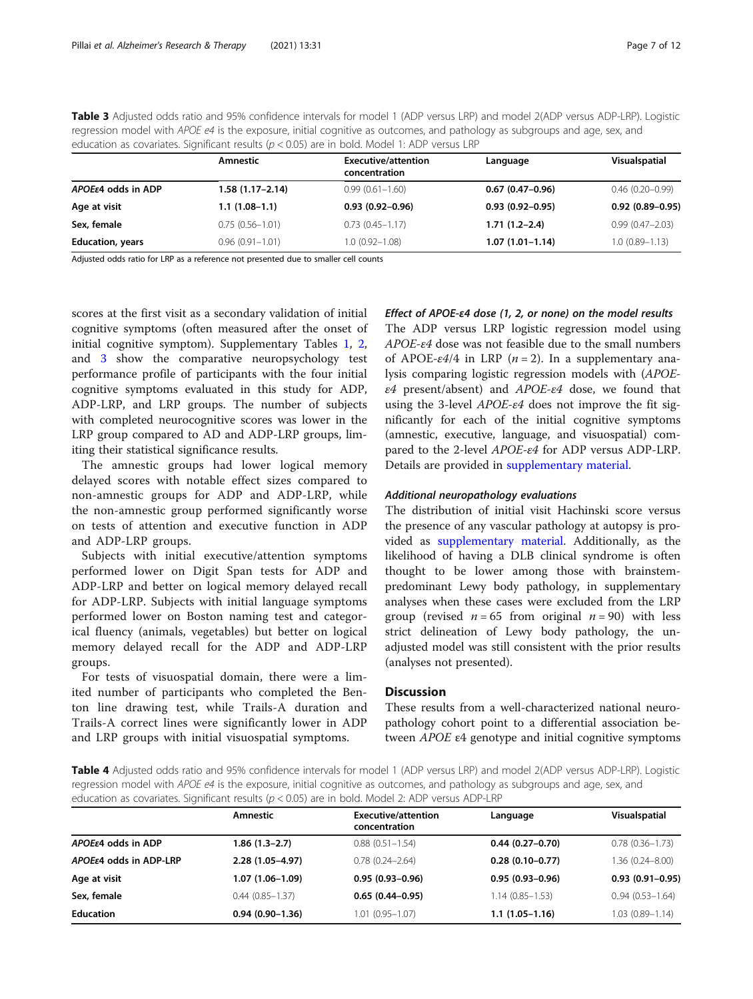<span id="page-6-0"></span>Table 3 Adjusted odds ratio and 95% confidence intervals for model 1 (ADP versus LRP) and model 2(ADP versus ADP-LRP). Logistic regression model with APOE e4 is the exposure, initial cognitive as outcomes, and pathology as subgroups and age, sex, and education as covariates. Significant results ( $p < 0.05$ ) are in bold. Model 1: ADP versus LRP

|                         | Amnestic            | <b>Executive/attention</b><br>concentration | Language            | Visualspatial       |
|-------------------------|---------------------|---------------------------------------------|---------------------|---------------------|
| APOEε4 odds in ADP      | 1.58 (1.17–2.14)    | $0.99(0.61 - 1.60)$                         | $0.67(0.47-0.96)$   | $0.46(0.20-0.99)$   |
| Age at visit            | $1.1(1.08-1.1)$     | $0.93(0.92 - 0.96)$                         | $0.93(0.92 - 0.95)$ | $0.92(0.89 - 0.95)$ |
| Sex, female             | $0.75(0.56 - 1.01)$ | $0.73(0.45 - 1.17)$                         | $1.71(1.2-2.4)$     | $0.99(0.47 - 2.03)$ |
| <b>Education, years</b> | $0.96(0.91 - 1.01)$ | $1.0(0.92 - 1.08)$                          | $1.07(1.01 - 1.14)$ | $1.0(0.89 - 1.13)$  |

Adjusted odds ratio for LRP as a reference not presented due to smaller cell counts

scores at the first visit as a secondary validation of initial cognitive symptoms (often measured after the onset of initial cognitive symptom). Supplementary Tables [1,](#page-9-0) [2](#page-9-0), and [3](#page-9-0) show the comparative neuropsychology test performance profile of participants with the four initial cognitive symptoms evaluated in this study for ADP, ADP-LRP, and LRP groups. The number of subjects with completed neurocognitive scores was lower in the LRP group compared to AD and ADP-LRP groups, limiting their statistical significance results.

The amnestic groups had lower logical memory delayed scores with notable effect sizes compared to non-amnestic groups for ADP and ADP-LRP, while the non-amnestic group performed significantly worse on tests of attention and executive function in ADP and ADP-LRP groups.

Subjects with initial executive/attention symptoms performed lower on Digit Span tests for ADP and ADP-LRP and better on logical memory delayed recall for ADP-LRP. Subjects with initial language symptoms performed lower on Boston naming test and categorical fluency (animals, vegetables) but better on logical memory delayed recall for the ADP and ADP-LRP groups.

For tests of visuospatial domain, there were a limited number of participants who completed the Benton line drawing test, while Trails-A duration and Trails-A correct lines were significantly lower in ADP and LRP groups with initial visuospatial symptoms.

#### Effect of APOE-ε4 dose (1, 2, or none) on the model results

The ADP versus LRP logistic regression model using APOE-ε4 dose was not feasible due to the small numbers of APOE- $\varepsilon$ 4/4 in LRP (*n* = 2). In a supplementary analysis comparing logistic regression models with (APOE- $\varepsilon$ 4 present/absent) and APOE- $\varepsilon$ 4 dose, we found that using the 3-level  $APOE- $\varepsilon$ 4 does not improve the fit sig$ nificantly for each of the initial cognitive symptoms (amnestic, executive, language, and visuospatial) compared to the 2-level APOE-ε4 for ADP versus ADP-LRP. Details are provided in [supplementary material](#page-9-0).

#### Additional neuropathology evaluations

The distribution of initial visit Hachinski score versus the presence of any vascular pathology at autopsy is provided as [supplementary material.](#page-9-0) Additionally, as the likelihood of having a DLB clinical syndrome is often thought to be lower among those with brainstempredominant Lewy body pathology, in supplementary analyses when these cases were excluded from the LRP group (revised  $n = 65$  from original  $n = 90$ ) with less strict delineation of Lewy body pathology, the unadjusted model was still consistent with the prior results (analyses not presented).

#### **Discussion**

These results from a well-characterized national neuropathology cohort point to a differential association between APOE ε4 genotype and initial cognitive symptoms

Table 4 Adjusted odds ratio and 95% confidence intervals for model 1 (ADP versus LRP) and model 2(ADP versus ADP-LRP). Logistic regression model with APOE e4 is the exposure, initial cognitive as outcomes, and pathology as subgroups and age, sex, and education as covariates. Significant results ( $p < 0.05$ ) are in bold. Model 2: ADP versus ADP-LRP

|                              | Amnestic            | Executive/attention<br>concentration | Language            | Visualspatial       |
|------------------------------|---------------------|--------------------------------------|---------------------|---------------------|
| $APOE\epsilon$ 4 odds in ADP | $1.86(1.3-2.7)$     | $0.88(0.51 - 1.54)$                  | $0.44(0.27-0.70)$   | $0.78(0.36 - 1.73)$ |
| APOEε4 odds in ADP-LRP       | $2.28(1.05 - 4.97)$ | $0.78(0.24 - 2.64)$                  | $0.28(0.10-0.77)$   | $1.36(0.24 - 8.00)$ |
| Age at visit                 | 1.07 (1.06-1.09)    | $0.95(0.93 - 0.96)$                  | $0.95(0.93 - 0.96)$ | $0.93(0.91 - 0.95)$ |
| Sex, female                  | $0.44(0.85 - 1.37)$ | $0.65(0.44 - 0.95)$                  | $1.14(0.85 - 1.53)$ | $0.94(0.53 - 1.64)$ |
| <b>Education</b>             | $0.94(0.90-1.36)$   | $1.01(0.95 - 1.07)$                  | $1.1(1.05-1.16)$    | $1.03(0.89 - 1.14)$ |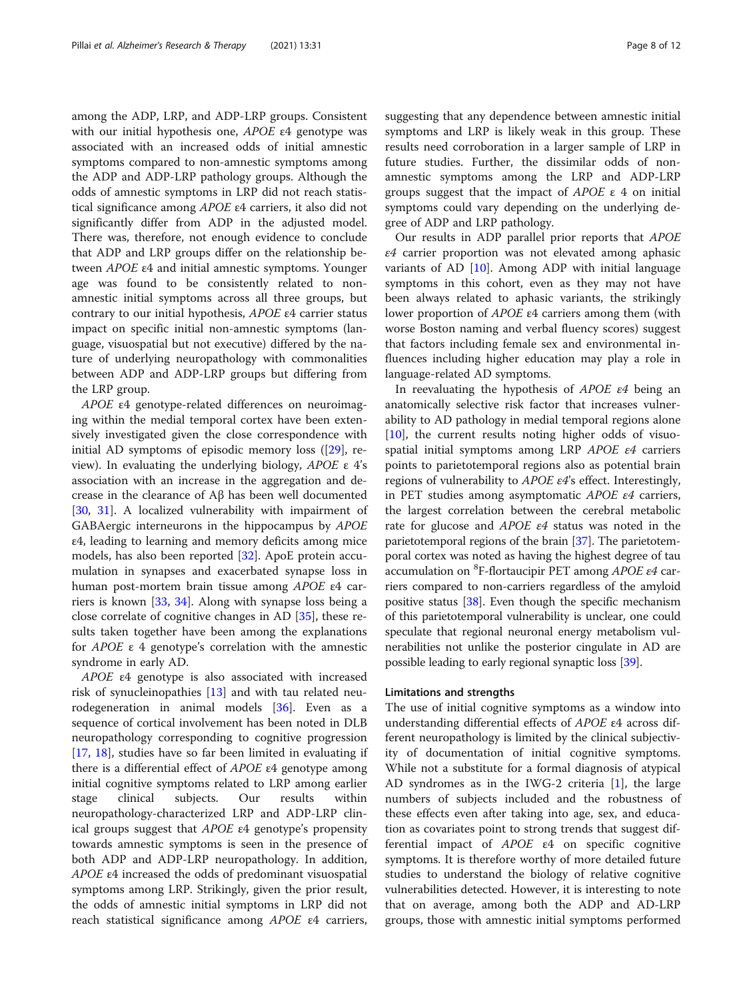among the ADP, LRP, and ADP-LRP groups. Consistent with our initial hypothesis one, APOE ε4 genotype was associated with an increased odds of initial amnestic symptoms compared to non-amnestic symptoms among the ADP and ADP-LRP pathology groups. Although the odds of amnestic symptoms in LRP did not reach statistical significance among APOE ε4 carriers, it also did not significantly differ from ADP in the adjusted model. There was, therefore, not enough evidence to conclude that ADP and LRP groups differ on the relationship between APOE ε4 and initial amnestic symptoms. Younger age was found to be consistently related to nonamnestic initial symptoms across all three groups, but contrary to our initial hypothesis, APOE ε4 carrier status impact on specific initial non-amnestic symptoms (language, visuospatial but not executive) differed by the nature of underlying neuropathology with commonalities between ADP and ADP-LRP groups but differing from the LRP group.

APOE ε4 genotype-related differences on neuroimaging within the medial temporal cortex have been extensively investigated given the close correspondence with initial AD symptoms of episodic memory loss ([[29\]](#page-10-0), review). In evaluating the underlying biology,  $APOE$  ε 4's association with an increase in the aggregation and decrease in the clearance of Aβ has been well documented [[30,](#page-10-0) [31\]](#page-10-0). A localized vulnerability with impairment of GABAergic interneurons in the hippocampus by APOE ε4, leading to learning and memory deficits among mice models, has also been reported [\[32\]](#page-10-0). ApoE protein accumulation in synapses and exacerbated synapse loss in human post-mortem brain tissue among APOE ε4 carriers is known [[33](#page-10-0), [34](#page-10-0)]. Along with synapse loss being a close correlate of cognitive changes in AD [[35](#page-10-0)], these results taken together have been among the explanations for APOE ε 4 genotype's correlation with the amnestic syndrome in early AD.

APOE ε4 genotype is also associated with increased risk of synucleinopathies [\[13](#page-10-0)] and with tau related neurodegeneration in animal models [[36](#page-10-0)]. Even as a sequence of cortical involvement has been noted in DLB neuropathology corresponding to cognitive progression [[17,](#page-10-0) [18](#page-10-0)], studies have so far been limited in evaluating if there is a differential effect of  $APOE$  ε4 genotype among initial cognitive symptoms related to LRP among earlier stage clinical subjects. Our results within neuropathology-characterized LRP and ADP-LRP clinical groups suggest that  $APOE$   $\epsilon$ 4 genotype's propensity towards amnestic symptoms is seen in the presence of both ADP and ADP-LRP neuropathology. In addition, APOE ε4 increased the odds of predominant visuospatial symptoms among LRP. Strikingly, given the prior result, the odds of amnestic initial symptoms in LRP did not reach statistical significance among APOE ε4 carriers,

suggesting that any dependence between amnestic initial symptoms and LRP is likely weak in this group. These results need corroboration in a larger sample of LRP in future studies. Further, the dissimilar odds of nonamnestic symptoms among the LRP and ADP-LRP groups suggest that the impact of  $APOE \varepsilon 4$  on initial symptoms could vary depending on the underlying degree of ADP and LRP pathology.

Our results in ADP parallel prior reports that APOE ε4 carrier proportion was not elevated among aphasic variants of AD [[10\]](#page-10-0). Among ADP with initial language symptoms in this cohort, even as they may not have been always related to aphasic variants, the strikingly lower proportion of APOE ε4 carriers among them (with worse Boston naming and verbal fluency scores) suggest that factors including female sex and environmental influences including higher education may play a role in language-related AD symptoms.

In reevaluating the hypothesis of APOE ε4 being an anatomically selective risk factor that increases vulnerability to AD pathology in medial temporal regions alone [[10\]](#page-10-0), the current results noting higher odds of visuospatial initial symptoms among LRP APOE ε4 carriers points to parietotemporal regions also as potential brain regions of vulnerability to  $APOE$   $\varepsilon$ 4's effect. Interestingly, in PET studies among asymptomatic APOE ε4 carriers, the largest correlation between the cerebral metabolic rate for glucose and APOE ε4 status was noted in the parietotemporal regions of the brain [\[37](#page-10-0)]. The parietotemporal cortex was noted as having the highest degree of tau accumulation on <sup>8</sup> F-flortaucipir PET among APOE ε4 carriers compared to non-carriers regardless of the amyloid positive status [\[38\]](#page-10-0). Even though the specific mechanism of this parietotemporal vulnerability is unclear, one could speculate that regional neuronal energy metabolism vulnerabilities not unlike the posterior cingulate in AD are possible leading to early regional synaptic loss [\[39](#page-10-0)].

#### Limitations and strengths

The use of initial cognitive symptoms as a window into understanding differential effects of APOE ε4 across different neuropathology is limited by the clinical subjectivity of documentation of initial cognitive symptoms. While not a substitute for a formal diagnosis of atypical AD syndromes as in the IWG-2 criteria [\[1](#page-9-0)], the large numbers of subjects included and the robustness of these effects even after taking into age, sex, and education as covariates point to strong trends that suggest differential impact of APOE ε4 on specific cognitive symptoms. It is therefore worthy of more detailed future studies to understand the biology of relative cognitive vulnerabilities detected. However, it is interesting to note that on average, among both the ADP and AD-LRP groups, those with amnestic initial symptoms performed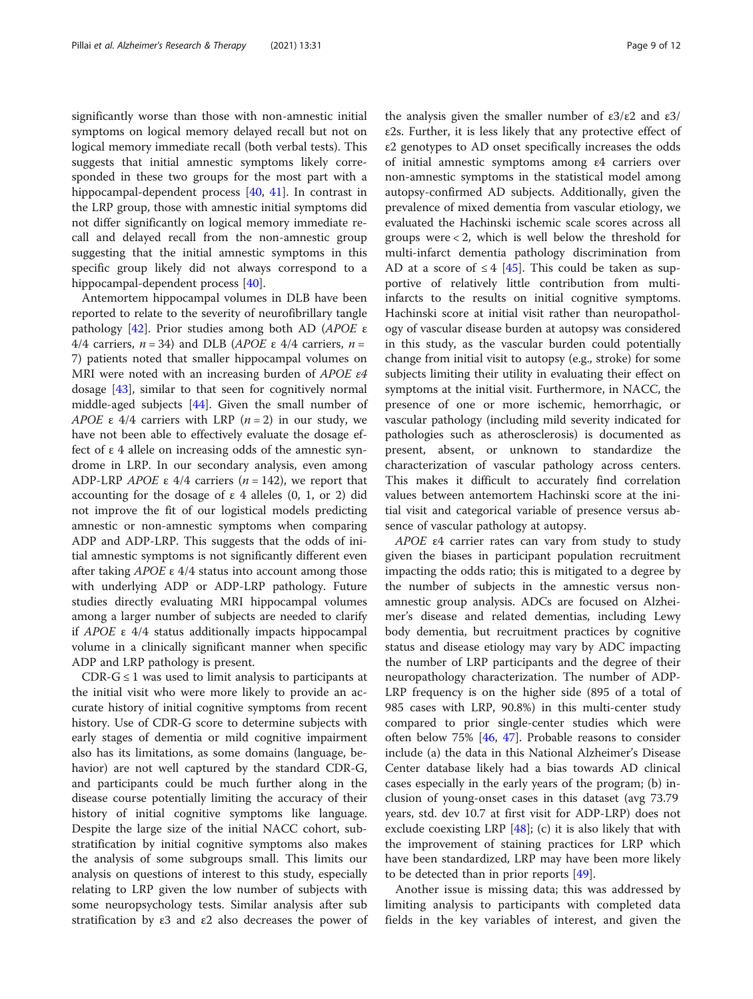significantly worse than those with non-amnestic initial symptoms on logical memory delayed recall but not on logical memory immediate recall (both verbal tests). This suggests that initial amnestic symptoms likely corresponded in these two groups for the most part with a hippocampal-dependent process [\[40](#page-10-0), [41](#page-10-0)]. In contrast in the LRP group, those with amnestic initial symptoms did not differ significantly on logical memory immediate recall and delayed recall from the non-amnestic group suggesting that the initial amnestic symptoms in this specific group likely did not always correspond to a hippocampal-dependent process [\[40\]](#page-10-0).

Antemortem hippocampal volumes in DLB have been reported to relate to the severity of neurofibrillary tangle pathology [\[42\]](#page-10-0). Prior studies among both AD (APOE ε 4/4 carriers,  $n = 34$ ) and DLB (APOE ε 4/4 carriers,  $n =$ 7) patients noted that smaller hippocampal volumes on MRI were noted with an increasing burden of APOE ε4 dosage [[43](#page-10-0)], similar to that seen for cognitively normal middle-aged subjects [\[44](#page-11-0)]. Given the small number of APOE  $\varepsilon$  4/4 carriers with LRP ( $n = 2$ ) in our study, we have not been able to effectively evaluate the dosage effect of ε 4 allele on increasing odds of the amnestic syndrome in LRP. In our secondary analysis, even among ADP-LRP *APOE* ε 4/4 carriers ( $n = 142$ ), we report that accounting for the dosage of  $ε$  4 alleles (0, 1, or 2) did not improve the fit of our logistical models predicting amnestic or non-amnestic symptoms when comparing ADP and ADP-LRP. This suggests that the odds of initial amnestic symptoms is not significantly different even after taking  $APOE$  ε 4/4 status into account among those with underlying ADP or ADP-LRP pathology. Future studies directly evaluating MRI hippocampal volumes among a larger number of subjects are needed to clarify if APOE ε 4/4 status additionally impacts hippocampal volume in a clinically significant manner when specific ADP and LRP pathology is present.

CDR- $G \leq 1$  was used to limit analysis to participants at the initial visit who were more likely to provide an accurate history of initial cognitive symptoms from recent history. Use of CDR-G score to determine subjects with early stages of dementia or mild cognitive impairment also has its limitations, as some domains (language, behavior) are not well captured by the standard CDR-G, and participants could be much further along in the disease course potentially limiting the accuracy of their history of initial cognitive symptoms like language. Despite the large size of the initial NACC cohort, substratification by initial cognitive symptoms also makes the analysis of some subgroups small. This limits our analysis on questions of interest to this study, especially relating to LRP given the low number of subjects with some neuropsychology tests. Similar analysis after sub stratification by  $\varepsilon$ 3 and  $\varepsilon$ 2 also decreases the power of the analysis given the smaller number of  $ε3/ε2$  and  $ε3/$ ε2s. Further, it is less likely that any protective effect of ε2 genotypes to AD onset specifically increases the odds of initial amnestic symptoms among ε4 carriers over non-amnestic symptoms in the statistical model among autopsy-confirmed AD subjects. Additionally, given the prevalence of mixed dementia from vascular etiology, we evaluated the Hachinski ischemic scale scores across all groups were < 2, which is well below the threshold for multi-infarct dementia pathology discrimination from AD at a score of  $\leq 4$  [\[45](#page-11-0)]. This could be taken as supportive of relatively little contribution from multiinfarcts to the results on initial cognitive symptoms. Hachinski score at initial visit rather than neuropathology of vascular disease burden at autopsy was considered in this study, as the vascular burden could potentially change from initial visit to autopsy (e.g., stroke) for some subjects limiting their utility in evaluating their effect on symptoms at the initial visit. Furthermore, in NACC, the presence of one or more ischemic, hemorrhagic, or vascular pathology (including mild severity indicated for pathologies such as atherosclerosis) is documented as present, absent, or unknown to standardize the characterization of vascular pathology across centers. This makes it difficult to accurately find correlation values between antemortem Hachinski score at the initial visit and categorical variable of presence versus absence of vascular pathology at autopsy.

APOE ε4 carrier rates can vary from study to study given the biases in participant population recruitment impacting the odds ratio; this is mitigated to a degree by the number of subjects in the amnestic versus nonamnestic group analysis. ADCs are focused on Alzheimer's disease and related dementias, including Lewy body dementia, but recruitment practices by cognitive status and disease etiology may vary by ADC impacting the number of LRP participants and the degree of their neuropathology characterization. The number of ADP-LRP frequency is on the higher side (895 of a total of 985 cases with LRP, 90.8%) in this multi-center study compared to prior single-center studies which were often below 75% [[46,](#page-11-0) [47\]](#page-11-0). Probable reasons to consider include (a) the data in this National Alzheimer's Disease Center database likely had a bias towards AD clinical cases especially in the early years of the program; (b) inclusion of young-onset cases in this dataset (avg 73.79 years, std. dev 10.7 at first visit for ADP-LRP) does not exclude coexisting LRP  $[48]$  $[48]$ ; (c) it is also likely that with the improvement of staining practices for LRP which have been standardized, LRP may have been more likely to be detected than in prior reports [\[49](#page-11-0)].

Another issue is missing data; this was addressed by limiting analysis to participants with completed data fields in the key variables of interest, and given the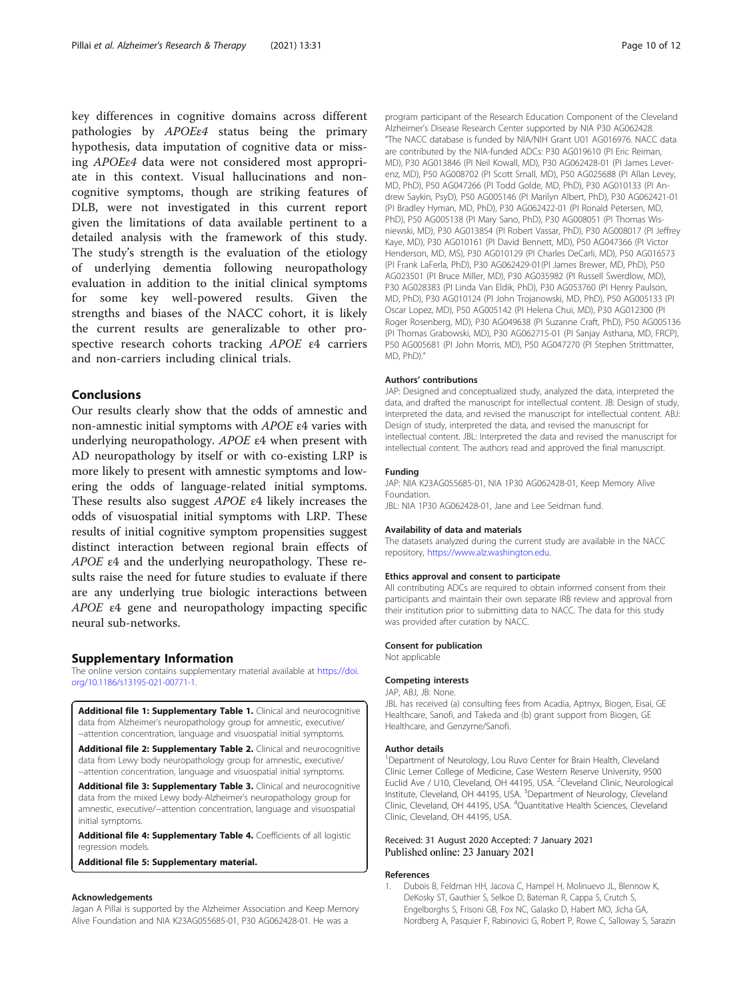<span id="page-9-0"></span>key differences in cognitive domains across different pathologies by APOEε4 status being the primary hypothesis, data imputation of cognitive data or missing APOEε4 data were not considered most appropriate in this context. Visual hallucinations and noncognitive symptoms, though are striking features of DLB, were not investigated in this current report given the limitations of data available pertinent to a detailed analysis with the framework of this study. The study's strength is the evaluation of the etiology of underlying dementia following neuropathology evaluation in addition to the initial clinical symptoms for some key well-powered results. Given the strengths and biases of the NACC cohort, it is likely the current results are generalizable to other prospective research cohorts tracking APOE ε4 carriers and non-carriers including clinical trials.

#### **Conclusions**

Our results clearly show that the odds of amnestic and non-amnestic initial symptoms with APOE ε4 varies with underlying neuropathology. APOE ε4 when present with AD neuropathology by itself or with co-existing LRP is more likely to present with amnestic symptoms and lowering the odds of language-related initial symptoms. These results also suggest APOE ε4 likely increases the odds of visuospatial initial symptoms with LRP. These results of initial cognitive symptom propensities suggest distinct interaction between regional brain effects of APOE ε4 and the underlying neuropathology. These results raise the need for future studies to evaluate if there are any underlying true biologic interactions between APOE ε4 gene and neuropathology impacting specific neural sub-networks.

#### Supplementary Information

The online version contains supplementary material available at [https://doi.](https://doi.org/10.1186/s13195-021-00771-1) [org/10.1186/s13195-021-00771-1.](https://doi.org/10.1186/s13195-021-00771-1)

Additional file 1: Supplementary Table 1. Clinical and neurocognitive data from Alzheimer's neuropathology group for amnestic, executive/ −attention concentration, language and visuospatial initial symptoms.

Additional file 2: Supplementary Table 2. Clinical and neurocognitive data from Lewy body neuropathology group for amnestic, executive/ −attention concentration, language and visuospatial initial symptoms.

Additional file 3: Supplementary Table 3. Clinical and neurocognitive data from the mixed Lewy body-Alzheimer's neuropathology group for amnestic, executive/−attention concentration, language and visuospatial initial symptoms.

Additional file 4: Supplementary Table 4. Coefficients of all logistic regression models.

Additional file 5: Supplementary material.

#### Acknowledgements

Jagan A Pillai is supported by the Alzheimer Association and Keep Memory Alive Foundation and NIA K23AG055685-01, P30 AG062428-01. He was a

program participant of the Research Education Component of the Cleveland Alzheimer's Disease Research Center supported by NIA P30 AG062428. "The NACC database is funded by NIA/NIH Grant U01 AG016976. NACC data are contributed by the NIA-funded ADCs: P30 AG019610 (PI Eric Reiman, MD), P30 AG013846 (PI Neil Kowall, MD), P30 AG062428-01 (PI James Leverenz, MD), P50 AG008702 (PI Scott Small, MD), P50 AG025688 (PI Allan Levey, MD, PhD), P50 AG047266 (PI Todd Golde, MD, PhD), P30 AG010133 (PI Andrew Saykin, PsyD), P50 AG005146 (PI Marilyn Albert, PhD), P30 AG062421-01 (PI Bradley Hyman, MD, PhD), P30 AG062422-01 (PI Ronald Petersen, MD, PhD), P50 AG005138 (PI Mary Sano, PhD), P30 AG008051 (PI Thomas Wisniewski, MD), P30 AG013854 (PI Robert Vassar, PhD), P30 AG008017 (PI Jeffrey Kaye, MD), P30 AG010161 (PI David Bennett, MD), P50 AG047366 (PI Victor Henderson, MD, MS), P30 AG010129 (PI Charles DeCarli, MD), P50 AG016573 (PI Frank LaFerla, PhD), P30 AG062429-01(PI James Brewer, MD, PhD), P50 AG023501 (PI Bruce Miller, MD), P30 AG035982 (PI Russell Swerdlow, MD), P30 AG028383 (PI Linda Van Eldik, PhD), P30 AG053760 (PI Henry Paulson, MD, PhD), P30 AG010124 (PI John Trojanowski, MD, PhD), P50 AG005133 (PI Oscar Lopez, MD), P50 AG005142 (PI Helena Chui, MD), P30 AG012300 (PI Roger Rosenberg, MD), P30 AG049638 (PI Suzanne Craft, PhD), P50 AG005136 (PI Thomas Grabowski, MD), P30 AG062715-01 (PI Sanjay Asthana, MD, FRCP), P50 AG005681 (PI John Morris, MD), P50 AG047270 (PI Stephen Strittmatter, MD, PhD)."

#### Authors' contributions

JAP: Designed and conceptualized study, analyzed the data, interpreted the data, and drafted the manuscript for intellectual content. JB: Design of study, interpreted the data, and revised the manuscript for intellectual content. ABJ: Design of study, interpreted the data, and revised the manuscript for intellectual content. JBL: Interpreted the data and revised the manuscript for intellectual content. The authors read and approved the final manuscript.

#### Funding

JAP: NIA K23AG055685-01, NIA 1P30 AG062428-01, Keep Memory Alive Foundation.

JBL: NIA 1P30 AG062428-01, Jane and Lee Seidman fund.

#### Availability of data and materials

The datasets analyzed during the current study are available in the NACC repository, [https://www.alz.washington.edu.](https://www.alz.washington.edu)

#### Ethics approval and consent to participate

All contributing ADCs are required to obtain informed consent from their participants and maintain their own separate IRB review and approval from their institution prior to submitting data to NACC. The data for this study was provided after curation by NACC.

#### Consent for publication

Not applicable

#### Competing interests

JAP, ABJ, JB: None.

JBL has received (a) consulting fees from Acadia, Aptnyx, Biogen, Eisai, GE Healthcare, Sanofi, and Takeda and (b) grant support from Biogen, GE Healthcare, and Genzyme/Sanofi.

#### Author details

<sup>1</sup>Department of Neurology, Lou Ruvo Center for Brain Health, Cleveland Clinic Lerner College of Medicine, Case Western Reserve University, 9500 Euclid Ave / U10, Cleveland, OH 44195, USA. <sup>2</sup>Cleveland Clinic, Neurological Institute, Cleveland, OH 44195, USA. <sup>3</sup> Department of Neurology, Cleveland Clinic, Cleveland, OH 44195, USA. <sup>4</sup> Quantitative Health Sciences, Cleveland Clinic, Cleveland, OH 44195, USA.

#### Received: 31 August 2020 Accepted: 7 January 2021 Published online: 23 January 2021

#### References

1. Dubois B, Feldman HH, Jacova C, Hampel H, Molinuevo JL, Blennow K, DeKosky ST, Gauthier S, Selkoe D, Bateman R, Cappa S, Crutch S, Engelborghs S, Frisoni GB, Fox NC, Galasko D, Habert MO, Jicha GA, Nordberg A, Pasquier F, Rabinovici G, Robert P, Rowe C, Salloway S, Sarazin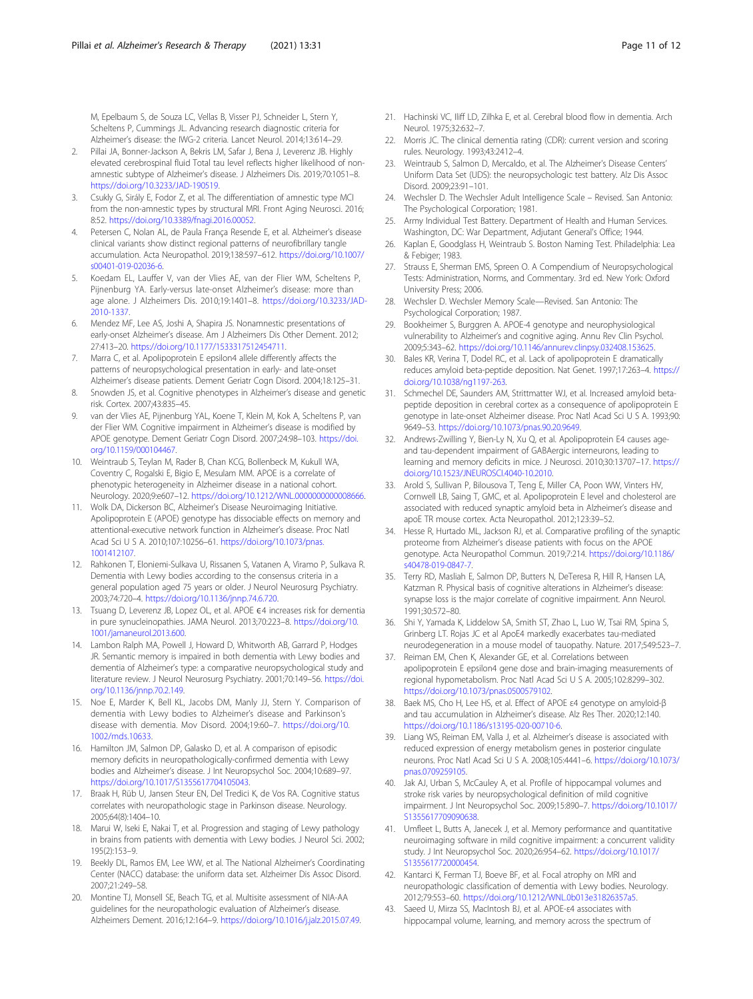<span id="page-10-0"></span>M, Epelbaum S, de Souza LC, Vellas B, Visser PJ, Schneider L, Stern Y, Scheltens P, Cummings JL. Advancing research diagnostic criteria for Alzheimer's disease: the IWG-2 criteria. Lancet Neurol. 2014;13:614–29.

- Pillai JA, Bonner-Jackson A, Bekris LM, Safar J, Bena J, Leverenz JB. Highly elevated cerebrospinal fluid Total tau level reflects higher likelihood of nonamnestic subtype of Alzheimer's disease. J Alzheimers Dis. 2019;70:1051–8. [https://doi.org/10.3233/JAD-190519.](https://doi.org/10.3233/JAD-190519)
- 3. Csukly G, Sirály E, Fodor Z, et al. The differentiation of amnestic type MCI from the non-amnestic types by structural MRI. Front Aging Neurosci. 2016; 8:52. [https://doi.org/10.3389/fnagi.2016.00052.](https://doi.org/10.3389/fnagi.2016.00052)
- 4. Petersen C, Nolan AL, de Paula França Resende E, et al. Alzheimer's disease clinical variants show distinct regional patterns of neurofibrillary tangle accumulation. Acta Neuropathol. 2019;138:597–612. [https://doi.org/10.1007/](https://doi.org/10.1007/s00401-019-02036-6) [s00401-019-02036-6](https://doi.org/10.1007/s00401-019-02036-6).
- Koedam EL, Lauffer V, van der Vlies AE, van der Flier WM, Scheltens P, Pijnenburg YA. Early-versus late-onset Alzheimer's disease: more than age alone. J Alzheimers Dis. 2010;19:1401–8. [https://doi.org/10.3233/JAD-](https://doi.org/10.3233/JAD-2010-1337)[2010-1337.](https://doi.org/10.3233/JAD-2010-1337)
- 6. Mendez MF, Lee AS, Joshi A, Shapira JS. Nonamnestic presentations of early-onset Alzheimer's disease. Am J Alzheimers Dis Other Dement. 2012; 27:413–20. <https://doi.org/10.1177/1533317512454711>.
- Marra C, et al. Apolipoprotein E epsilon4 allele differently affects the patterns of neuropsychological presentation in early- and late-onset Alzheimer's disease patients. Dement Geriatr Cogn Disord. 2004;18:125–31.
- Snowden JS, et al. Cognitive phenotypes in Alzheimer's disease and genetic risk. Cortex. 2007;43:835–45.
- 9. van der Vlies AE, Pijnenburg YAL, Koene T, Klein M, Kok A, Scheltens P, van der Flier WM. Cognitive impairment in Alzheimer's disease is modified by APOE genotype. Dement Geriatr Cogn Disord. 2007;24:98–103. [https://doi.](https://doi.org/10.1159/000104467) [org/10.1159/000104467.](https://doi.org/10.1159/000104467)
- 10. Weintraub S, Teylan M, Rader B, Chan KCG, Bollenbeck M, Kukull WA, Coventry C, Rogalski E, Bigio E, Mesulam MM. APOE is a correlate of phenotypic heterogeneity in Alzheimer disease in a national cohort. Neurology. 2020;9:e607–12. <https://doi.org/10.1212/WNL.0000000000008666>.
- 11. Wolk DA, Dickerson BC, Alzheimer's Disease Neuroimaging Initiative. Apolipoprotein E (APOE) genotype has dissociable effects on memory and attentional-executive network function in Alzheimer's disease. Proc Natl Acad Sci U S A. 2010;107:10256–61. [https://doi.org/10.1073/pnas.](https://doi.org/10.1073/pnas.1001412107) [1001412107.](https://doi.org/10.1073/pnas.1001412107)
- 12. Rahkonen T, Eloniemi-Sulkava U, Rissanen S, Vatanen A, Viramo P, Sulkava R. Dementia with Lewy bodies according to the consensus criteria in a general population aged 75 years or older. J Neurol Neurosurg Psychiatry. 2003;74:720–4. <https://doi.org/10.1136/jnnp.74.6.720>.
- 13. Tsuang D, Leverenz JB, Lopez OL, et al. APOE €4 increases risk for dementia in pure synucleinopathies. JAMA Neurol. 2013;70:223–8. [https://doi.org/10.](https://doi.org/10.1001/jamaneurol.2013.600) [1001/jamaneurol.2013.600.](https://doi.org/10.1001/jamaneurol.2013.600)
- 14. Lambon Ralph MA, Powell J, Howard D, Whitworth AB, Garrard P, Hodges JR. Semantic memory is impaired in both dementia with Lewy bodies and dementia of Alzheimer's type: a comparative neuropsychological study and literature review. J Neurol Neurosurg Psychiatry. 2001;70:149–56. [https://doi.](https://doi.org/10.1136/jnnp.70.2.149) [org/10.1136/jnnp.70.2.149.](https://doi.org/10.1136/jnnp.70.2.149)
- 15. Noe E, Marder K, Bell KL, Jacobs DM, Manly JJ, Stern Y. Comparison of dementia with Lewy bodies to Alzheimer's disease and Parkinson's disease with dementia. Mov Disord. 2004;19:60–7. [https://doi.org/10.](https://doi.org/10.1002/mds.10633) [1002/mds.10633.](https://doi.org/10.1002/mds.10633)
- 16. Hamilton JM, Salmon DP, Galasko D, et al. A comparison of episodic memory deficits in neuropathologically-confirmed dementia with Lewy bodies and Alzheimer's disease. J Int Neuropsychol Soc. 2004;10:689–97. [https://doi.org/10.1017/S1355617704105043.](https://doi.org/10.1017/S1355617704105043)
- 17. Braak H, Rüb U, Jansen Steur EN, Del Tredici K, de Vos RA. Cognitive status correlates with neuropathologic stage in Parkinson disease. Neurology. 2005;64(8):1404–10.
- 18. Marui W, Iseki E, Nakai T, et al. Progression and staging of Lewy pathology in brains from patients with dementia with Lewy bodies. J Neurol Sci. 2002; 195(2):153–9.
- 19. Beekly DL, Ramos EM, Lee WW, et al. The National Alzheimer's Coordinating Center (NACC) database: the uniform data set. Alzheimer Dis Assoc Disord. 2007;21:249–58.
- 20. Montine TJ, Monsell SE, Beach TG, et al. Multisite assessment of NIA-AA guidelines for the neuropathologic evaluation of Alzheimer's disease. Alzheimers Dement. 2016;12:164–9. <https://doi.org/10.1016/j.jalz.2015.07.49>.
- 21. Hachinski VC, Iliff LD, Zilhka E, et al. Cerebral blood flow in dementia. Arch Neurol. 1975;32:632–7.
- 22. Morris JC. The clinical dementia rating (CDR): current version and scoring rules. Neurology. 1993;43:2412–4.
- 23. Weintraub S, Salmon D, Mercaldo, et al. The Alzheimer's Disease Centers' Uniform Data Set (UDS): the neuropsychologic test battery. Alz Dis Assoc Disord. 2009;23:91–101.
- 24. Wechsler D. The Wechsler Adult Intelligence Scale Revised. San Antonio: The Psychological Corporation; 1981.
- 25. Army Individual Test Battery. Department of Health and Human Services. Washington, DC: War Department, Adjutant General's Office; 1944.
- 26. Kaplan E, Goodglass H, Weintraub S. Boston Naming Test. Philadelphia: Lea & Febiger; 1983.
- 27. Strauss E, Sherman EMS, Spreen O. A Compendium of Neuropsychological Tests: Administration, Norms, and Commentary. 3rd ed. New York: Oxford University Press; 2006.
- 28. Wechsler D. Wechsler Memory Scale—Revised. San Antonio: The Psychological Corporation; 1987.
- 29. Bookheimer S, Burggren A. APOE-4 genotype and neurophysiological vulnerability to Alzheimer's and cognitive aging. Annu Rev Clin Psychol. 2009;5:343–62. <https://doi.org/10.1146/annurev.clinpsy.032408.153625>.
- 30. Bales KR, Verina T, Dodel RC, et al. Lack of apolipoprotein E dramatically reduces amyloid beta-peptide deposition. Nat Genet. 1997;17:263–4. [https://](https://doi.org/10.1038/ng1197-263) [doi.org/10.1038/ng1197-263.](https://doi.org/10.1038/ng1197-263)
- 31. Schmechel DE, Saunders AM, Strittmatter WJ, et al. Increased amyloid betapeptide deposition in cerebral cortex as a consequence of apolipoprotein E genotype in late-onset Alzheimer disease. Proc Natl Acad Sci U S A. 1993;90: 9649–53. [https://doi.org/10.1073/pnas.90.20.9649.](https://doi.org/10.1073/pnas.90.20.9649)
- 32. Andrews-Zwilling Y, Bien-Ly N, Xu Q, et al. Apolipoprotein E4 causes ageand tau-dependent impairment of GABAergic interneurons, leading to learning and memory deficits in mice. J Neurosci. 2010;30:13707–17. [https://](https://doi.org/10.1523/JNEUROSCI.4040-10.2010) [doi.org/10.1523/JNEUROSCI.4040-10.2010.](https://doi.org/10.1523/JNEUROSCI.4040-10.2010)
- 33. Arold S, Sullivan P, Bilousova T, Teng E, Miller CA, Poon WW, Vinters HV, Cornwell LB, Saing T, GMC, et al. Apolipoprotein E level and cholesterol are associated with reduced synaptic amyloid beta in Alzheimer's disease and apoE TR mouse cortex. Acta Neuropathol. 2012;123:39–52.
- 34. Hesse R, Hurtado ML, Jackson RJ, et al. Comparative profiling of the synaptic proteome from Alzheimer's disease patients with focus on the APOE genotype. Acta Neuropathol Commun. 2019;7:214. [https://doi.org/10.1186/](https://doi.org/10.1186/s40478-019-0847-7) [s40478-019-0847-7.](https://doi.org/10.1186/s40478-019-0847-7)
- 35. Terry RD, Masliah E, Salmon DP, Butters N, DeTeresa R, Hill R, Hansen LA, Katzman R. Physical basis of cognitive alterations in Alzheimer's disease: synapse loss is the major correlate of cognitive impairment. Ann Neurol. 1991;30:572–80.
- 36. Shi Y, Yamada K, Liddelow SA, Smith ST, Zhao L, Luo W, Tsai RM, Spina S, Grinberg LT. Rojas JC et al ApoE4 markedly exacerbates tau-mediated neurodegeneration in a mouse model of tauopathy. Nature. 2017;549:523–7.
- 37. Reiman EM, Chen K, Alexander GE, et al. Correlations between apolipoprotein E epsilon4 gene dose and brain-imaging measurements of regional hypometabolism. Proc Natl Acad Sci U S A. 2005;102:8299–302. [https://doi.org/10.1073/pnas.0500579102.](https://doi.org/10.1073/pnas.0500579102)
- 38. Baek MS, Cho H, Lee HS, et al. Effect of APOE ε4 genotype on amyloid-β and tau accumulation in Alzheimer's disease. Alz Res Ther. 2020;12:140. [https://doi.org/10.1186/s13195-020-00710-6.](https://doi.org/10.1186/s13195-020-00710-6)
- 39. Liang WS, Reiman EM, Valla J, et al. Alzheimer's disease is associated with reduced expression of energy metabolism genes in posterior cingulate neurons. Proc Natl Acad Sci U S A. 2008;105:4441–6. [https://doi.org/10.1073/](https://doi.org/10.1073/pnas.0709259105) [pnas.0709259105](https://doi.org/10.1073/pnas.0709259105).
- 40. Jak AJ, Urban S, McCauley A, et al. Profile of hippocampal volumes and stroke risk varies by neuropsychological definition of mild cognitive impairment. J Int Neuropsychol Soc. 2009;15:890–7. [https://doi.org/10.1017/](https://doi.org/10.1017/S1355617709090638) [S1355617709090638.](https://doi.org/10.1017/S1355617709090638)
- 41. Umfleet L, Butts A, Janecek J, et al. Memory performance and quantitative neuroimaging software in mild cognitive impairment: a concurrent validity study. J Int Neuropsychol Soc. 2020;26:954–62. [https://doi.org/10.1017/](https://doi.org/10.1017/S1355617720000454) [S1355617720000454.](https://doi.org/10.1017/S1355617720000454)
- 42. Kantarci K, Ferman TJ, Boeve BF, et al. Focal atrophy on MRI and neuropathologic classification of dementia with Lewy bodies. Neurology. 2012;79:553–60. <https://doi.org/10.1212/WNL.0b013e31826357a5>.
- 43. Saeed U, Mirza SS, MacIntosh BJ, et al. APOE-ε4 associates with hippocampal volume, learning, and memory across the spectrum of